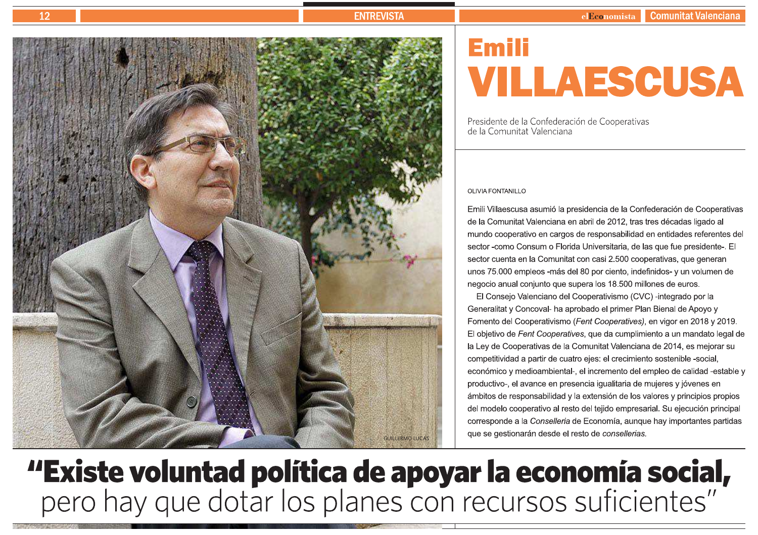# **ENTREVISTA**



# **Emili** VILLAESCUSA

Presidente de la Confederación de Cooperativas de la Comunitat Valenciana

# **OLIVIA FONTANILLO**

Emili Villaescusa asumió la presidencia de la Confederación de Cooperativas de la Comunitat Valenciana en abril de 2012, tras tres décadas ligado al mundo cooperativo en cargos de responsabilidad en entidades referentes del sector -como Consum o Florida Universitaria, de las que fue presidente-. El sector cuenta en la Comunitat con casi 2.500 cooperativas, que generan unos 75.000 empleos -más del 80 por ciento, indefinidos- y un volumen de negocio anual conjunto que supera los 18.500 millones de euros.

El Consejo Valenciano del Cooperativismo (CVC) -integrado por la Generalitat y Concoval- ha aprobado el primer Plan Bienal de Apoyo y Fomento del Cooperativismo (Fent Cooperatives), en vigor en 2018 y 2019. El objetivo de Fent Cooperatives, que da cumplimiento a un mandato legal de la Ley de Cooperativas de la Comunitat Valenciana de 2014, es mejorar su competitividad a partir de cuatro ejes: el crecimiento sostenible -social, económico y medioambiental-, el incremento del empleo de calidad -estable y productivo-, el avance en presencia igualitaria de mujeres y jóvenes en ámbitos de responsabilidad y la extensión de los valores y principios propios del modelo cooperativo al resto del tejido empresarial. Su ejecución principal corresponde a la Conselleria de Economía, aunque hay importantes partidas que se gestionarán desde el resto de consellerías.

# "Existe voluntad política de apoyar la economía social,<br>pero hay que dotar los planes con recursos suficientes"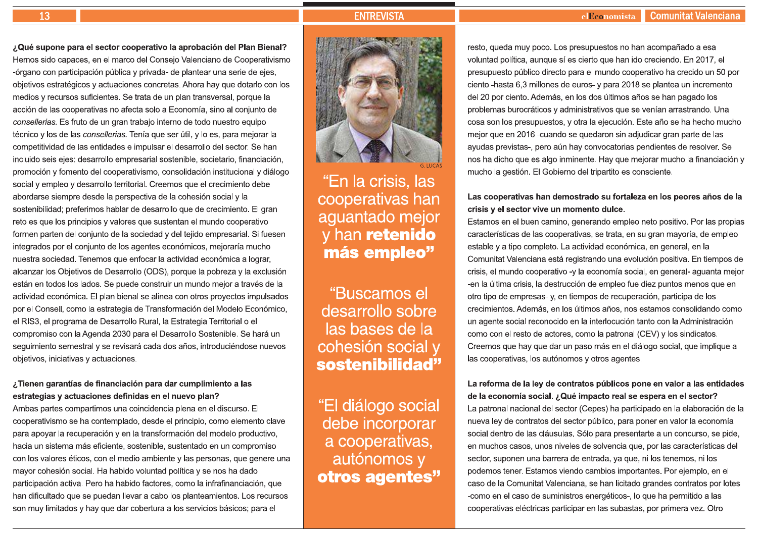# **ENTREVISTA**

### **Comunitat Valenciana** elEconomista

¿Qué supone para el sector cooperativo la aprobación del Plan Bienal? Hemos sido capaces, en el marco del Conseio Valenciano de Cooperativismo -órgano con participación pública y privada- de plantear una serie de ejes, objetivos estratégicos y actuaciones concretas. Ahora hay que dotarlo con los medios y recursos suficientes. Se trata de un plan transversal, porque la acción de las cooperativas no afecta solo a Economía, sino al conjunto de consellerías. Es fruto de un gran trabajo interno de todo nuestro equipo técnico y los de las consellerias. Tenía que ser útil, y lo es, para mejorar la competitividad de las entidades e impulsar el desarrollo del sector. Se han incluido seis ejes: desarrollo empresarial sostenible, societario, financiación, promoción y fomento del cooperativismo, consolidación institucional y diálogo social y empleo y desarrollo territorial. Creemos que el crecimiento debe abordarse siempre desde la perspectiva de la cohesión social y la sostenibilidad; preferimos hablar de desarrollo que de crecimiento. El gran reto es que los principios y valores que sustentan el mundo cooperativo formen parten del conjunto de la sociedad y del tejido empresarial. Si fuesen integrados por el conjunto de los agentes económicos, mejoraría mucho nuestra sociedad. Tenemos que enfocar la actividad económica a lograr, alcanzar los Objetivos de Desarrollo (ODS), porque la pobreza y la exclusión están en todos los lados. Se puede construir un mundo mejor a través de la actividad económica. El plan bienal se alinea con otros proyectos impulsados por el Consell, como la estrategia de Transformación del Modelo Económico, el RIS3, el programa de Desarrollo Rural, la Estrategia Territorial o el compromiso con la Agenda 2030 para el Desarrollo Sostenible. Se hará un seguimiento semestral y se revisará cada dos años, introduciéndose nuevos objetivos, iniciativas y actuaciones.

# ¿Tienen garantías de financiación para dar cumplimiento a las estrategias y actuaciones definidas en el nuevo plan?

Ambas partes compartimos una coincidencia plena en el discurso. El cooperativismo se ha contemplado, desde el principio, como elemento clave para apoyar la recuperación y en la transformación del modelo productivo, hacia un sistema más eficiente, sostenible, sustentado en un compromiso con los valores éticos, con el medio ambiente y las personas, que genere una mayor cohesión social. Ha habido voluntad política y se nos ha dado participación activa. Pero ha habido factores, como la infrafinanciación, que han dificultado que se puedan llevar a cabo los planteamientos. Los recursos son muy limitados y hay que dar cobertura a los servicios básicos; para el



# "En la crisis, las cooperativas han aguantado mejor y han retenido más empleo"

"Buscamos el desarrollo sobre las bases de la cohesión social y sostenibilidad"

"El diálogo social debe incorporar a cooperativas, autónomos y otros agentes" resto, queda muy poco. Los presupuestos no han acompañado a esa voluntad política, aunque sí es cierto que han ido creciendo. En 2017, el presupuesto público directo para el mundo cooperativo ha crecido un 50 por ciento -hasta 6,3 millones de euros- y para 2018 se plantea un incremento del 20 por ciento. Además, en los dos últimos años se han pagado los problemas burocráticos y administrativos que se venían arrastrando. Una cosa son los presupuestos, y otra la ejecución. Este año se ha hecho mucho mejor que en 2016 -cuando se quedaron sin adjudicar gran parte de las ayudas previstas-, pero aún hay convocatorias pendientes de resolver. Se nos ha dicho que es algo inminente. Hay que mejorar mucho la financiación y mucho la gestión. El Gobierno del tripartito es consciente.

# Las cooperativas han demostrado su fortaleza en los peores años de la crisis y el sector vive un momento dulce.

Estamos en el buen camino, generando empleo neto positivo. Por las propias características de las cooperativas, se trata, en su gran mayoría, de empleo estable y a tipo completo. La actividad económica, en general, en la Comunitat Valenciana está registrando una evolución positiva. En tiempos de crisis, el mundo cooperativo -y la economía social, en general- aquanta mejor -en la última crisis, la destrucción de empleo fue diez puntos menos que en otro tipo de empresas-y, en tiempos de recuperación, participa de los crecimientos. Además, en los últimos años, nos estamos consolidando como un agente social reconocido en la interlocución tanto con la Administración como con el resto de actores, como la patronal (CEV) y los sindicatos. Creemos que hay que dar un paso más en el diálogo social, que implique a las cooperativas, los autónomos y otros agentes.

# La reforma de la ley de contratos públicos pone en valor a las entidades de la economía social. ¿Qué impacto real se espera en el sector?

La patronal nacional del sector (Cepes) ha participado en la elaboración de la nueva ley de contratos del sector público, para poner en valor la economía social dentro de las cláusulas. Sólo para presentarte a un concurso, se pide, en muchos casos, unos niveles de solvencia que, por las características del sector, suponen una barrera de entrada, ya que, ni los tenemos, ni los podemos tener. Estamos viendo cambios importantes. Por ejemplo, en el caso de la Comunitat Valenciana, se han licitado grandes contratos por lotes -como en el caso de suministros energéticos-, lo que ha permitido a las cooperativas eléctricas participar en las subastas, por primera vez. Otro

13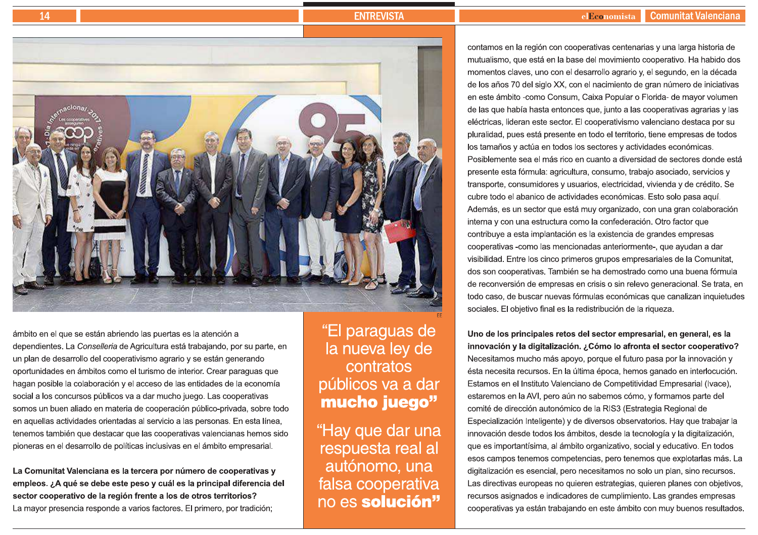# 14

# **ENTREVISTA**



ámbito en el que se están abriendo las puertas es la atención a dependientes. La Conselleria de Agricultura está trabajando, por su parte, en un plan de desarrollo del cooperativismo agrario y se están generando oportunidades en ámbitos como el turismo de interior. Crear paraguas que hagan posible la colaboración y el acceso de las entidades de la economía social a los concursos públicos va a dar mucho juego. Las cooperativas somos un buen aliado en materia de cooperación público-privada, sobre todo en aquellas actividades orientadas al servicio a las personas. En esta línea, tenemos también que destacar que las cooperativas valencianas hemos sido pioneras en el desarrollo de políticas inclusivas en el ámbito empresarial.

La Comunitat Valenciana es la tercera por número de cooperativas y empleos. ¿A qué se debe este peso y cuál es la principal diferencia del sector cooperativo de la región frente a los de otros territorios? La mayor presencia responde a varios factores. El primero, por tradición;

"El paraguas de la nueva ley de contratos públicos va a dar mucho juego"

"Hay que dar una respuesta real al autónomo, una falsa cooperativa no es solución"

contamos en la región con cooperativas centenarias y una larga historia de mutualismo, que está en la base del movimiento cooperativo. Ha habido dos momentos claves, uno con el desarrollo agrario y, el segundo, en la década de los años 70 del siglo XX, con el nacimiento de gran número de iniciativas en este ámbito -como Consum, Caixa Popular o Florida- de mayor volumen de las que había hasta entonces que, junto a las cooperativas agrarias y las eléctricas, lideran este sector. El cooperativismo valenciano destaca por su pluralidad, pues está presente en todo el territorio, tiene empresas de todos los tamaños y actúa en todos los sectores y actividades económicas. Posiblemente sea el más rico en cuanto a diversidad de sectores donde está presente esta fórmula: agricultura, consumo, trabajo asociado, servicios y transporte, consumidores y usuarios, electricidad, vivienda y de crédito. Se cubre todo el abanico de actividades económicas. Esto solo pasa aquí. Además, es un sector que está muy organizado, con una gran colaboración interna y con una estructura como la confederación. Otro factor que contribuye a esta implantación es la existencia de grandes empresas cooperativas -como las mencionadas anteriormente-, que ayudan a dar visibilidad. Entre los cinco primeros grupos empresariales de la Comunitat, dos son cooperativas. También se ha demostrado como una buena fórmula de reconversión de empresas en crisis o sin relevo generacional. Se trata, en todo caso, de buscar nuevas fórmulas económicas que canalizan inquietudes sociales. El objetivo final es la redistribución de la riqueza.

Uno de los principales retos del sector empresarial, en general, es la innovación y la digitalización. ¿Cómo lo afronta el sector cooperativo? Necesitamos mucho más apoyo, porque el futuro pasa por la innovación y ésta necesita recursos. En la última época, hemos ganado en interlocución. Estamos en el Instituto Valenciano de Competitividad Empresarial (Ivace). estaremos en la AVI, pero aún no sabemos cómo, y formamos parte del comité de dirección autonómico de la RIS3 (Estrategia Regional de Especialización Inteligente) y de diversos observatorios. Hay que trabajar la innovación desde todos los ámbitos, desde la tecnología y la digitalización, que es importantísima, al ámbito organizativo, social y educativo. En todos esos campos tenemos competencias, pero tenemos que explotarlas más. La digitalización es esencial, pero necesitamos no solo un plan, sino recursos. Las directivas europeas no quieren estrategias, quieren planes con objetivos, recursos asignados e indicadores de cumplimiento. Las grandes empresas cooperativas ya están trabajando en este ámbito con muy buenos resultados.